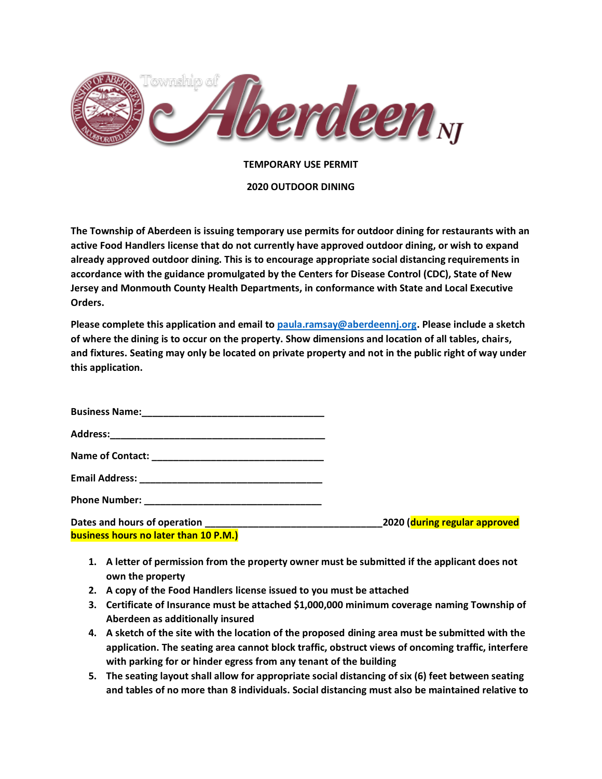

## **TEMPORARY USE PERMIT**

## **2020 OUTDOOR DINING**

**The Township of Aberdeen is issuing temporary use permits for outdoor dining for restaurants with an active Food Handlers license that do not currently have approved outdoor dining, or wish to expand already approved outdoor dining. This is to encourage appropriate social distancing requirements in accordance with the guidance promulgated by the Centers for Disease Control (CDC), State of New Jersey and Monmouth County Health Departments, in conformance with State and Local Executive Orders.**

**Please complete this application and email to [paula.ramsay@aberdeennj.org.](mailto:paula.ramsay@aberdeennj.org) Please include a sketch of where the dining is to occur on the property. Show dimensions and location of all tables, chairs, and fixtures. Seating may only be located on private property and not in the public right of way under this application.**

| Dates and hours of operation <b>Exercise 2018</b> | 2020 (during regular approved |
|---------------------------------------------------|-------------------------------|
| business hours no later than 10 P.M.)             |                               |

- **1. A letter of permission from the property owner must be submitted if the applicant does not own the property**
- **2. A copy of the Food Handlers license issued to you must be attached**
- **3. Certificate of Insurance must be attached \$1,000,000 minimum coverage naming Township of Aberdeen as additionally insured**
- **4. A sketch of the site with the location of the proposed dining area must be submitted with the application. The seating area cannot block traffic, obstruct views of oncoming traffic, interfere with parking for or hinder egress from any tenant of the building**
- **5. The seating layout shall allow for appropriate social distancing of six (6) feet between seating and tables of no more than 8 individuals. Social distancing must also be maintained relative to**